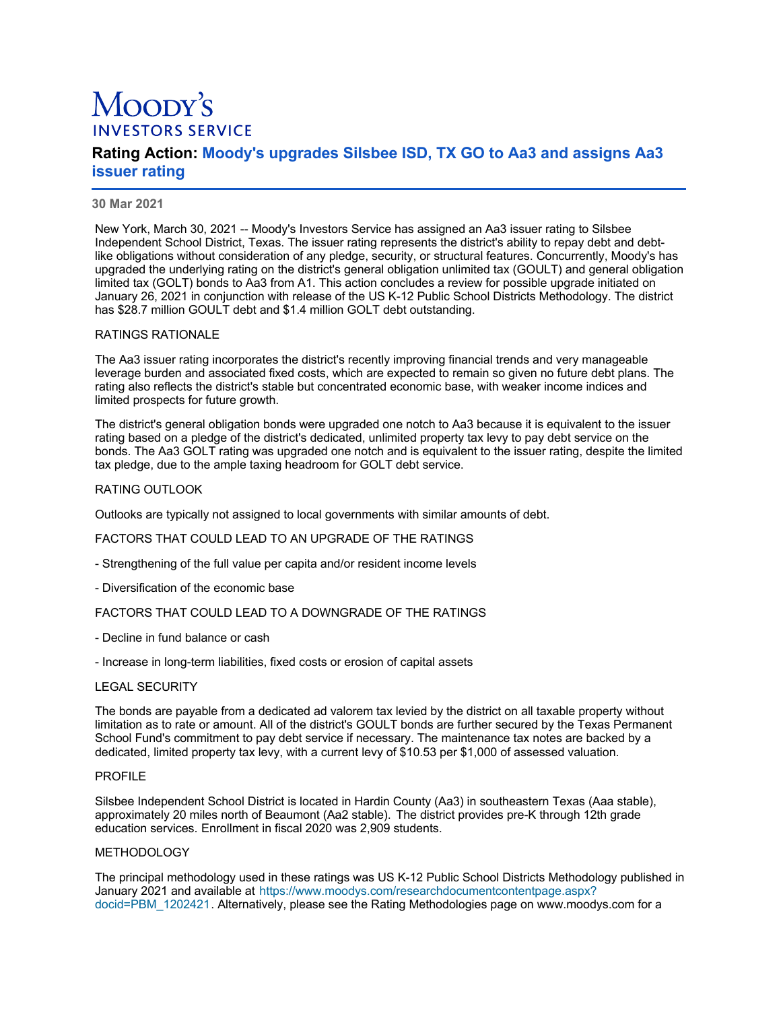# Moopy's **INVESTORS SERVICE**

# **Rating Action: Moody's upgrades Silsbee ISD, TX GO to Aa3 and assigns Aa3 issuer rating**

# **30 Mar 2021**

New York, March 30, 2021 -- Moody's Investors Service has assigned an Aa3 issuer rating to Silsbee Independent School District, Texas. The issuer rating represents the district's ability to repay debt and debtlike obligations without consideration of any pledge, security, or structural features. Concurrently, Moody's has upgraded the underlying rating on the district's general obligation unlimited tax (GOULT) and general obligation limited tax (GOLT) bonds to Aa3 from A1. This action concludes a review for possible upgrade initiated on January 26, 2021 in conjunction with release of the US K-12 Public School Districts Methodology. The district has \$28.7 million GOULT debt and \$1.4 million GOLT debt outstanding.

### RATINGS RATIONALE

The Aa3 issuer rating incorporates the district's recently improving financial trends and very manageable leverage burden and associated fixed costs, which are expected to remain so given no future debt plans. The rating also reflects the district's stable but concentrated economic base, with weaker income indices and limited prospects for future growth.

The district's general obligation bonds were upgraded one notch to Aa3 because it is equivalent to the issuer rating based on a pledge of the district's dedicated, unlimited property tax levy to pay debt service on the bonds. The Aa3 GOLT rating was upgraded one notch and is equivalent to the issuer rating, despite the limited tax pledge, due to the ample taxing headroom for GOLT debt service.

### RATING OUTLOOK

Outlooks are typically not assigned to local governments with similar amounts of debt.

### FACTORS THAT COULD LEAD TO AN UPGRADE OF THE RATINGS

- Strengthening of the full value per capita and/or resident income levels
- Diversification of the economic base

## FACTORS THAT COULD LEAD TO A DOWNGRADE OF THE RATINGS

- Decline in fund balance or cash
- Increase in long-term liabilities, fixed costs or erosion of capital assets

#### LEGAL SECURITY

The bonds are payable from a dedicated ad valorem tax levied by the district on all taxable property without limitation as to rate or amount. All of the district's GOULT bonds are further secured by the Texas Permanent School Fund's commitment to pay debt service if necessary. The maintenance tax notes are backed by a dedicated, limited property tax levy, with a current levy of \$10.53 per \$1,000 of assessed valuation.

### PROFILE

Silsbee Independent School District is located in Hardin County (Aa3) in southeastern Texas (Aaa stable), approximately 20 miles north of Beaumont (Aa2 stable). The district provides pre-K through 12th grade education services. Enrollment in fiscal 2020 was 2,909 students.

#### METHODOLOGY

The principal methodology used in these ratings was US K-12 Public School Districts Methodology published in [January 2021 and available at https://www.moodys.com/researchdocumentcontentpage.aspx?](https://www.moodys.com/researchdocumentcontentpage.aspx?docid=PBM_1202421) docid=PBM\_1202421. Alternatively, please see the Rating Methodologies page on www.moodys.com for a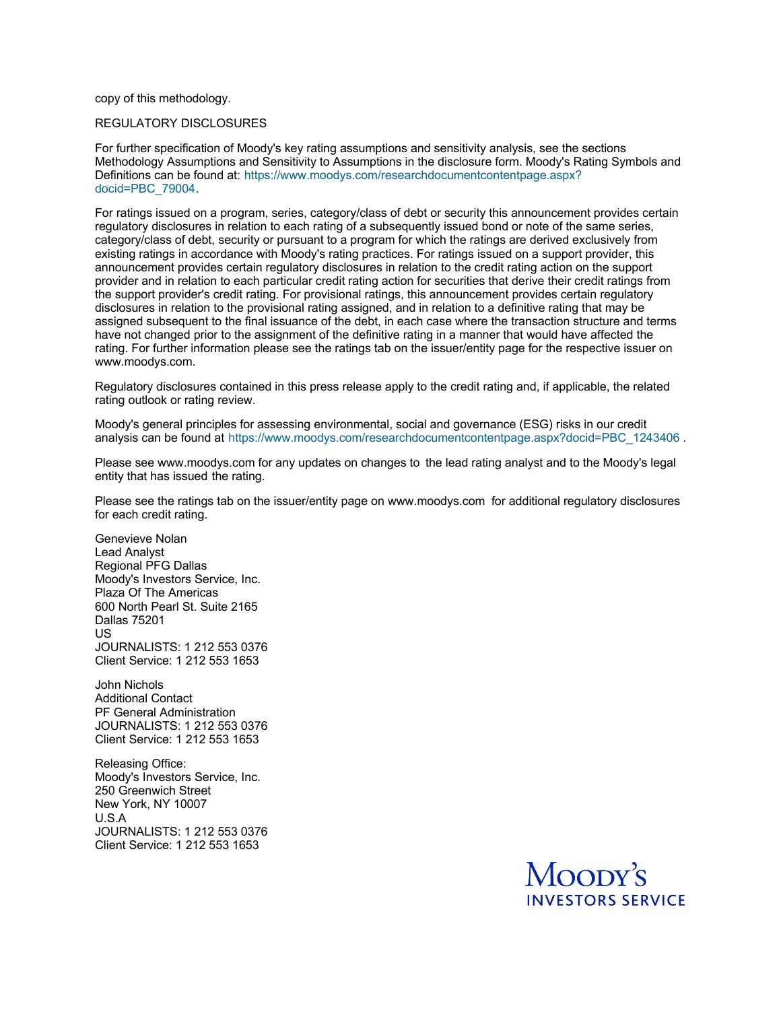copy of this methodology.

#### REGULATORY DISCLOSURES

For further specification of Moody's key rating assumptions and sensitivity analysis, see the sections Methodology Assumptions and Sensitivity to Assumptions in the disclosure form. Moody's Rating Symbols and [Definitions can be found at: https://www.moodys.com/researchdocumentcontentpage.aspx?](https://www.moodys.com/researchdocumentcontentpage.aspx?docid=PBC_79004) docid=PBC\_79004.

For ratings issued on a program, series, category/class of debt or security this announcement provides certain regulatory disclosures in relation to each rating of a subsequently issued bond or note of the same series, category/class of debt, security or pursuant to a program for which the ratings are derived exclusively from existing ratings in accordance with Moody's rating practices. For ratings issued on a support provider, this announcement provides certain regulatory disclosures in relation to the credit rating action on the support provider and in relation to each particular credit rating action for securities that derive their credit ratings from the support provider's credit rating. For provisional ratings, this announcement provides certain regulatory disclosures in relation to the provisional rating assigned, and in relation to a definitive rating that may be assigned subsequent to the final issuance of the debt, in each case where the transaction structure and terms have not changed prior to the assignment of the definitive rating in a manner that would have affected the rating. For further information please see the ratings tab on the issuer/entity page for the respective issuer on www.moodys.com.

Regulatory disclosures contained in this press release apply to the credit rating and, if applicable, the related rating outlook or rating review.

Moody's general principles for assessing environmental, social and governance (ESG) risks in our credit analysis can be found at [https://www.moodys.com/researchdocumentcontentpage.aspx?docid=PBC\\_1243406](https://www.moodys.com/researchdocumentcontentpage.aspx?docid=PBC_1243406).

Please see www.moodys.com for any updates on changes to the lead rating analyst and to the Moody's legal entity that has issued the rating.

Please see the ratings tab on the issuer/entity page on www.moodys.com for additional regulatory disclosures for each credit rating.

Genevieve Nolan Lead Analyst Regional PFG Dallas Moody's Investors Service, Inc. Plaza Of The Americas 600 North Pearl St. Suite 2165 Dallas 75201 US JOURNALISTS: 1 212 553 0376 Client Service: 1 212 553 1653

John Nichols Additional Contact PF General Administration JOURNALISTS: 1 212 553 0376 Client Service: 1 212 553 1653

Releasing Office: Moody's Investors Service, Inc. 250 Greenwich Street New York, NY 10007 U.S.A JOURNALISTS: 1 212 553 0376 Client Service: 1 212 553 1653

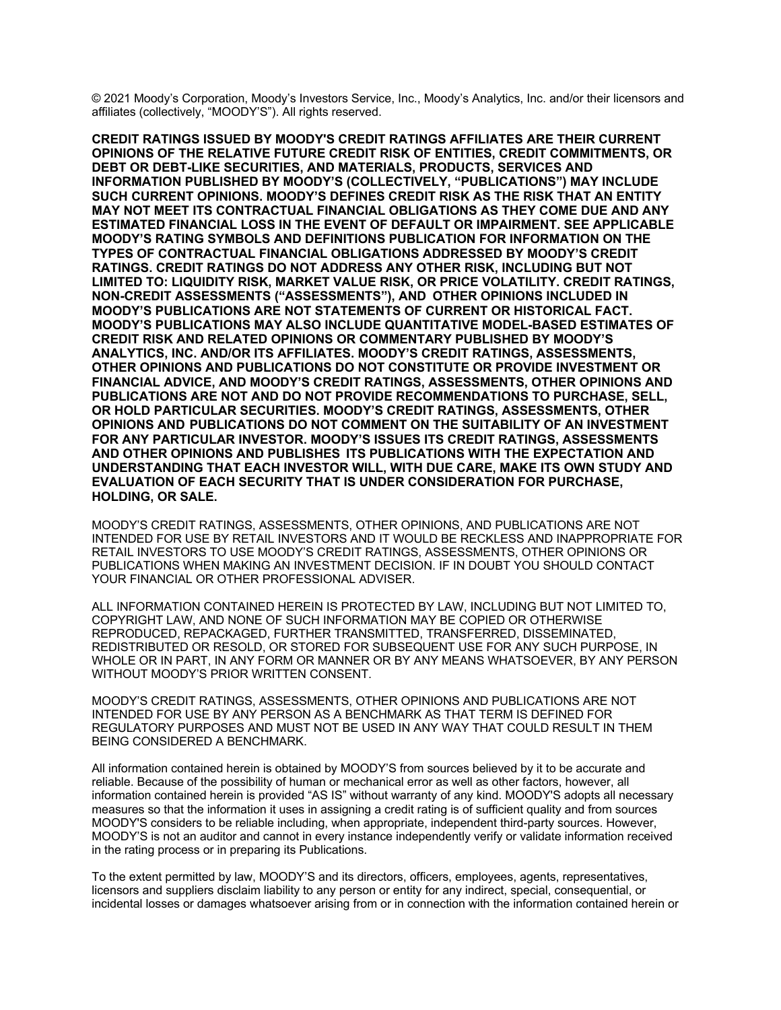© 2021 Moody's Corporation, Moody's Investors Service, Inc., Moody's Analytics, Inc. and/or their licensors and affiliates (collectively, "MOODY'S"). All rights reserved.

**CREDIT RATINGS ISSUED BY MOODY'S CREDIT RATINGS AFFILIATES ARE THEIR CURRENT OPINIONS OF THE RELATIVE FUTURE CREDIT RISK OF ENTITIES, CREDIT COMMITMENTS, OR DEBT OR DEBT-LIKE SECURITIES, AND MATERIALS, PRODUCTS, SERVICES AND INFORMATION PUBLISHED BY MOODY'S (COLLECTIVELY, "PUBLICATIONS") MAY INCLUDE SUCH CURRENT OPINIONS. MOODY'S DEFINES CREDIT RISK AS THE RISK THAT AN ENTITY MAY NOT MEET ITS CONTRACTUAL FINANCIAL OBLIGATIONS AS THEY COME DUE AND ANY ESTIMATED FINANCIAL LOSS IN THE EVENT OF DEFAULT OR IMPAIRMENT. SEE APPLICABLE MOODY'S RATING SYMBOLS AND DEFINITIONS PUBLICATION FOR INFORMATION ON THE TYPES OF CONTRACTUAL FINANCIAL OBLIGATIONS ADDRESSED BY MOODY'S CREDIT RATINGS. CREDIT RATINGS DO NOT ADDRESS ANY OTHER RISK, INCLUDING BUT NOT LIMITED TO: LIQUIDITY RISK, MARKET VALUE RISK, OR PRICE VOLATILITY. CREDIT RATINGS, NON-CREDIT ASSESSMENTS ("ASSESSMENTS"), AND OTHER OPINIONS INCLUDED IN MOODY'S PUBLICATIONS ARE NOT STATEMENTS OF CURRENT OR HISTORICAL FACT. MOODY'S PUBLICATIONS MAY ALSO INCLUDE QUANTITATIVE MODEL-BASED ESTIMATES OF CREDIT RISK AND RELATED OPINIONS OR COMMENTARY PUBLISHED BY MOODY'S ANALYTICS, INC. AND/OR ITS AFFILIATES. MOODY'S CREDIT RATINGS, ASSESSMENTS, OTHER OPINIONS AND PUBLICATIONS DO NOT CONSTITUTE OR PROVIDE INVESTMENT OR FINANCIAL ADVICE, AND MOODY'S CREDIT RATINGS, ASSESSMENTS, OTHER OPINIONS AND PUBLICATIONS ARE NOT AND DO NOT PROVIDE RECOMMENDATIONS TO PURCHASE, SELL, OR HOLD PARTICULAR SECURITIES. MOODY'S CREDIT RATINGS, ASSESSMENTS, OTHER OPINIONS AND PUBLICATIONS DO NOT COMMENT ON THE SUITABILITY OF AN INVESTMENT FOR ANY PARTICULAR INVESTOR. MOODY'S ISSUES ITS CREDIT RATINGS, ASSESSMENTS AND OTHER OPINIONS AND PUBLISHES ITS PUBLICATIONS WITH THE EXPECTATION AND UNDERSTANDING THAT EACH INVESTOR WILL, WITH DUE CARE, MAKE ITS OWN STUDY AND EVALUATION OF EACH SECURITY THAT IS UNDER CONSIDERATION FOR PURCHASE, HOLDING, OR SALE.** 

MOODY'S CREDIT RATINGS, ASSESSMENTS, OTHER OPINIONS, AND PUBLICATIONS ARE NOT INTENDED FOR USE BY RETAIL INVESTORS AND IT WOULD BE RECKLESS AND INAPPROPRIATE FOR RETAIL INVESTORS TO USE MOODY'S CREDIT RATINGS, ASSESSMENTS, OTHER OPINIONS OR PUBLICATIONS WHEN MAKING AN INVESTMENT DECISION. IF IN DOUBT YOU SHOULD CONTACT YOUR FINANCIAL OR OTHER PROFESSIONAL ADVISER.

ALL INFORMATION CONTAINED HEREIN IS PROTECTED BY LAW, INCLUDING BUT NOT LIMITED TO, COPYRIGHT LAW, AND NONE OF SUCH INFORMATION MAY BE COPIED OR OTHERWISE REPRODUCED, REPACKAGED, FURTHER TRANSMITTED, TRANSFERRED, DISSEMINATED, REDISTRIBUTED OR RESOLD, OR STORED FOR SUBSEQUENT USE FOR ANY SUCH PURPOSE, IN WHOLE OR IN PART, IN ANY FORM OR MANNER OR BY ANY MEANS WHATSOEVER, BY ANY PERSON WITHOUT MOODY'S PRIOR WRITTEN CONSENT.

MOODY'S CREDIT RATINGS, ASSESSMENTS, OTHER OPINIONS AND PUBLICATIONS ARE NOT INTENDED FOR USE BY ANY PERSON AS A BENCHMARK AS THAT TERM IS DEFINED FOR REGULATORY PURPOSES AND MUST NOT BE USED IN ANY WAY THAT COULD RESULT IN THEM BEING CONSIDERED A BENCHMARK.

All information contained herein is obtained by MOODY'S from sources believed by it to be accurate and reliable. Because of the possibility of human or mechanical error as well as other factors, however, all information contained herein is provided "AS IS" without warranty of any kind. MOODY'S adopts all necessary measures so that the information it uses in assigning a credit rating is of sufficient quality and from sources MOODY'S considers to be reliable including, when appropriate, independent third-party sources. However, MOODY'S is not an auditor and cannot in every instance independently verify or validate information received in the rating process or in preparing its Publications.

To the extent permitted by law, MOODY'S and its directors, officers, employees, agents, representatives, licensors and suppliers disclaim liability to any person or entity for any indirect, special, consequential, or incidental losses or damages whatsoever arising from or in connection with the information contained herein or